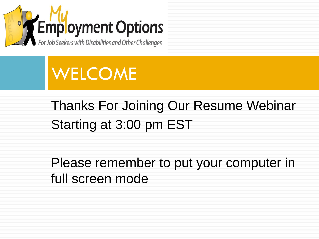



#### Thanks For Joining Our Resume Webinar Starting at 3:00 pm EST

Please remember to put your computer in full screen mode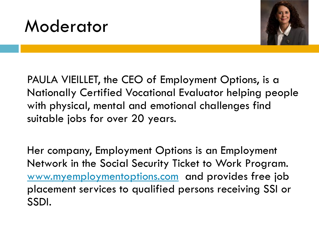#### Moderator



PAULA VIEILLET, the CEO of Employment Options, is a Nationally Certified Vocational Evaluator helping people with physical, mental and emotional challenges find suitable jobs for over 20 years.

Her company, Employment Options is an Employment Network in the Social Security Ticket to Work Program. [www.myemploymentoptions.com](http://www.myemploymentoptions.com/) and provides free job placement services to qualified persons receiving SSI or SSDI.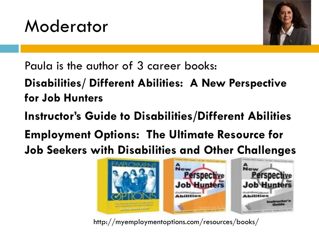



Paula is the author of 3 career books:

**Disabilities/ Different Abilities: A New Perspective for Job Hunters** 

**Instructor's Guide to Disabilities/Different Abilities** 

**Employment Options: The Ultimate Resource for Job Seekers with Disabilities and Other Challenges**



http://myemploymentoptions.com/resources/books/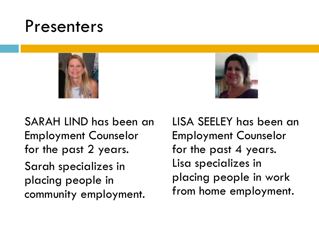#### Presenters





SARAH LIND has been an Employment Counselor for the past 2 years. Sarah specializes in placing people in community employment.

LISA SEELEY has been an Employment Counselor for the past 4 years. Lisa specializes in placing people in work from home employment.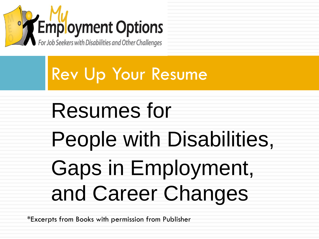

Rev Up Your Resume

# Resumes for People with Disabilities, Gaps in Employment, and Career Changes

\*Excerpts from Books with permission from Publisher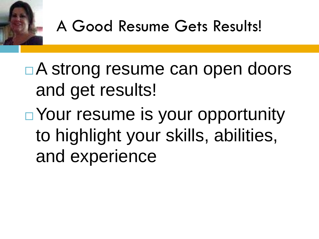

#### A Good Resume Gets Results!

■A strong resume can open doors and get results! ■ Your resume is your opportunity to highlight your skills, abilities, and experience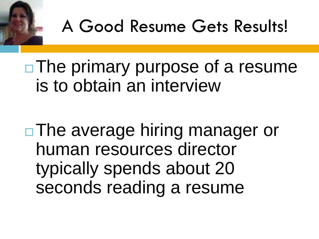

□ The primary purpose of a resume is to obtain an interview

□ The average hiring manager or human resources director typically spends about 20 seconds reading a resume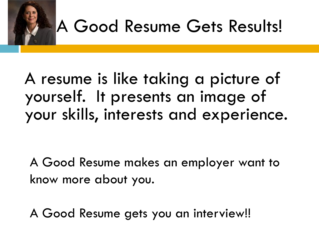

## A Good Resume Gets Results!

#### A resume is like taking a picture of yourself. It presents an image of your skills, interests and experience.

A Good Resume makes an employer want to know more about you.

A Good Resume gets you an interview!!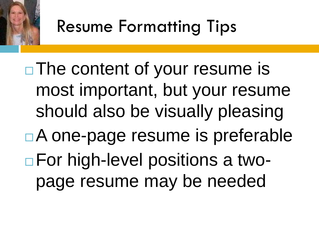

□ The content of your resume is most important, but your resume should also be visually pleasing ■A one-page resume is preferable ■ For high-level positions a twopage resume may be needed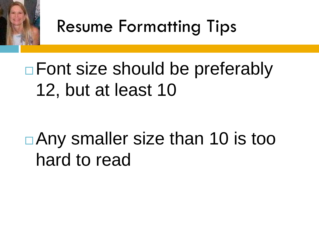

Resume Formatting Tips

### □ Font size should be preferably 12, but at least 10

### ■Any smaller size than 10 is too hard to read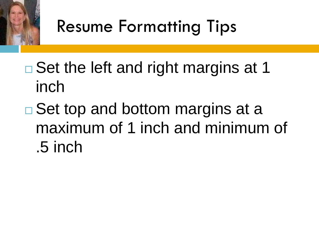

### Resume Formatting Tips

- $\Box$  Set the left and right margins at 1 inch
- $\square$  Set top and bottom margins at a maximum of 1 inch and minimum of .5 inch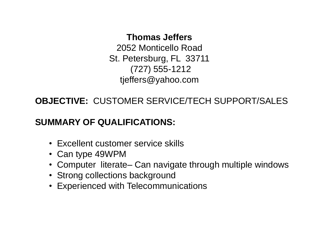#### **Thomas Jeffers**

2052 Monticello Road St. Petersburg, FL 33711 (727) 555-1212 tjeffers@yahoo.com

**OBJECTIVE:** CUSTOMER SERVICE/TECH SUPPORT/SALES

#### **SUMMARY OF QUALIFICATIONS:**

- Excellent customer service skills
- Can type 49WPM
- Computer literate– Can navigate through multiple windows
- Strong collections background
- Experienced with Telecommunications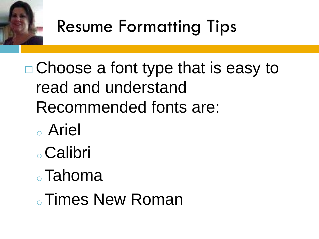

### Resume Formatting Tips

 Choose a font type that is easy to read and understand Recommended fonts are:

- <sup>o</sup> Ariel
- <sup>o</sup>Calibri
- <sup>o</sup>Tahoma

. Times New Roman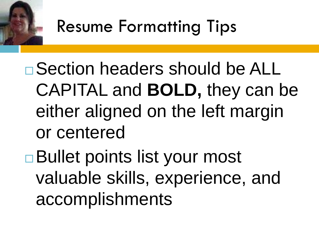

 Section headers should be ALL CAPITAL and **BOLD,** they can be either aligned on the left margin or centered

**□Bullet points list your most** valuable skills, experience, and accomplishments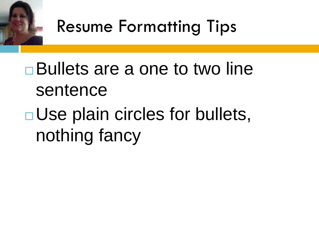

#### Resume Formatting Tips

# Bullets are a one to two line sentence

### **□Use plain circles for bullets,** nothing fancy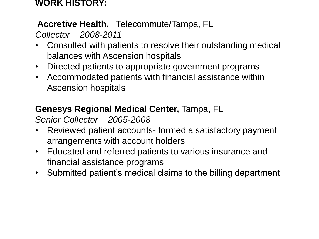#### **WORK HISTORY:**

#### **Accretive Health,** Telecommute/Tampa, FL

*Collector 2008-2011*

- Consulted with patients to resolve their outstanding medical balances with Ascension hospitals
- Directed patients to appropriate government programs
- Accommodated patients with financial assistance within Ascension hospitals

#### **Genesys Regional Medical Center,** Tampa, FL

*Senior Collector 2005-2008*

- Reviewed patient accounts- formed a satisfactory payment arrangements with account holders
- Educated and referred patients to various insurance and financial assistance programs
- Submitted patient's medical claims to the billing department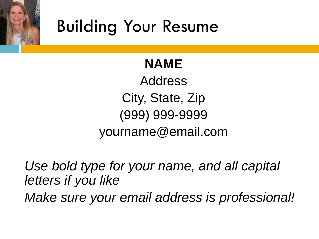

#### **NAME**

Address City, State, Zip (999) 999-9999 yourname@email.com

*Use bold type for your name, and all capital letters if you like Make sure your email address is professional!*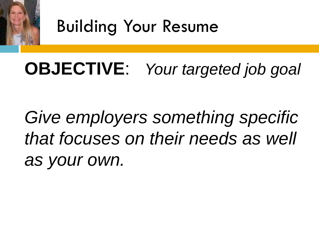

### **OBJECTIVE**: *Your targeted job goal*

*Give employers something specific that focuses on their needs as well as your own.*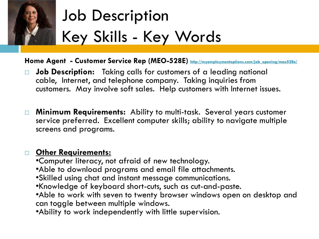

### Job Description Key Skills - Key Words

Home Agent - Customer Service Rep (MEO-528E) **[http://myemploymentoptions.com/job\\_opening/meo528e/](http://myemploymentoptions.com/job_opening/meo528e/)** 

- **Job Description:** Taking calls for customers of a leading national cable, Internet, and telephone company. Taking inquiries from customers. May involve soft sales. Help customers with Internet issues.
- **Minimum Requirements:** Ability to multi-task. Several years customer service preferred. Excellent computer skills; ability to navigate multiple screens and programs.

#### **Other Requirements:**

- •Computer literacy, not afraid of new technology.
- •Able to download programs and email file attachments.
- •Skilled using chat and instant message communications.
- •Knowledge of keyboard short-cuts, such as cut-and-paste.
- •Able to work with seven to twenty browser windows open on desktop and can toggle between multiple windows.
- •Ability to work independently with little supervision.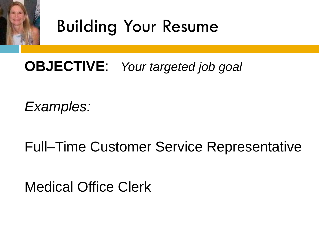

#### **OBJECTIVE**: *Your targeted job goal*

*Examples:* 

Full–Time Customer Service Representative

Medical Office Clerk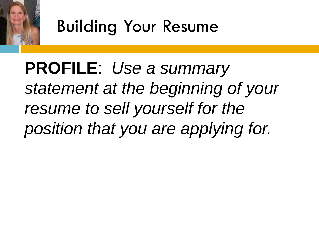

**PROFILE**: *Use a summary statement at the beginning of your resume to sell yourself for the position that you are applying for.*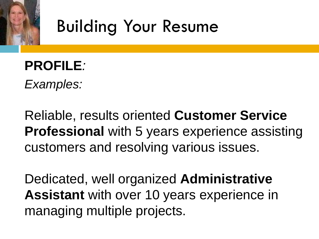

## **PROFILE***:*

*Examples:* 

Reliable, results oriented **Customer Service Professional** with 5 years experience assisting customers and resolving various issues.

Dedicated, well organized **Administrative Assistant** with over 10 years experience in managing multiple projects.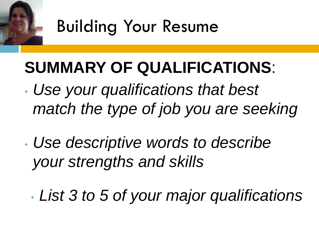

#### **SUMMARY OF QUALIFICATIONS**:

- *Use your qualifications that best match the type of job you are seeking*
- *Use descriptive words to describe your strengths and skills* 
	- *List 3 to 5 of your major qualifications*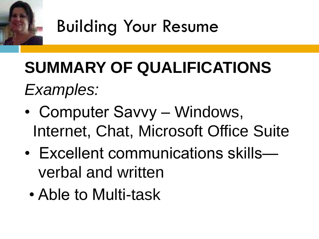

## **SUMMARY OF QUALIFICATIONS** *Examples:*

- Computer Savvy Windows, Internet, Chat, Microsoft Office Suite
- Excellent communications skills verbal and written
	- Able to Multi-task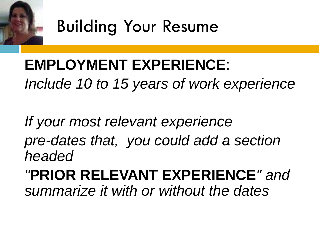

#### **EMPLOYMENT EXPERIENCE**: *Include 10 to 15 years of work experience*

*If your most relevant experience pre-dates that, you could add a section headed* 

*"***PRIOR RELEVANT EXPERIENCE***" and summarize it with or without the dates*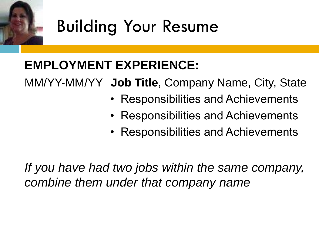

#### **EMPLOYMENT EXPERIENCE:**

MM/YY-MM/YY **Job Title**, Company Name, City, State

- Responsibilities and Achievements
- Responsibilities and Achievements
- Responsibilities and Achievements

*If you have had two jobs within the same company, combine them under that company name*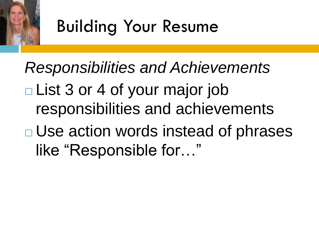

*Responsibilities and Achievements* List 3 or 4 of your major job responsibilities and achievements **□ Use action words instead of phrases** like "Responsible for…"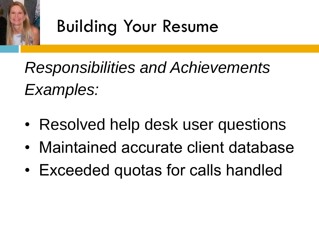

*Responsibilities and Achievements Examples:* 

- Resolved help desk user questions
- Maintained accurate client database
- Exceeded quotas for calls handled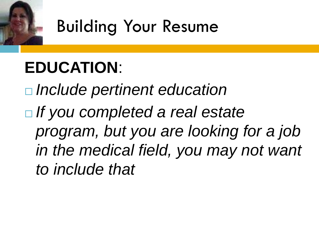

#### **EDUCATION**:

 *Include pertinent education If you completed a real estate program, but you are looking for a job in the medical field, you may not want to include that*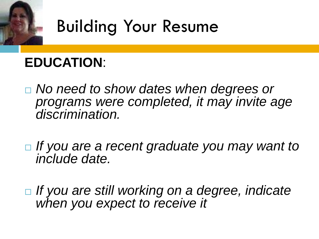

#### **EDUCATION**:

- *No need to show dates when degrees or programs were completed, it may invite age discrimination.*
- *If you are a recent graduate you may want to include date.*
- *If you are still working on a degree, indicate when you expect to receive it*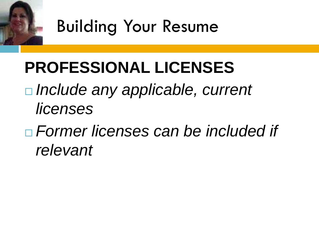

#### **PROFESSIONAL LICENSES**

 *Include any applicable, current licenses* 

 *Former licenses can be included if relevant*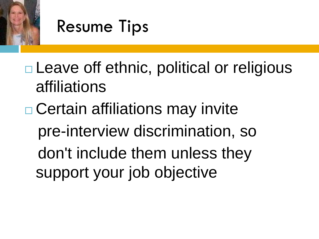

**□ Leave off ethnic, political or religious** affiliations

**□ Certain affiliations may invite**  pre-interview discrimination, so don't include them unless they support your job objective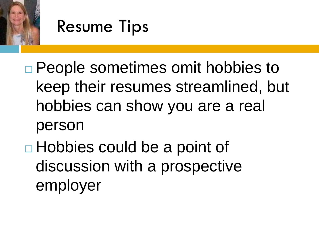

**□ People sometimes omit hobbies to** keep their resumes streamlined, but hobbies can show you are a real person

□ Hobbies could be a point of discussion with a prospective employer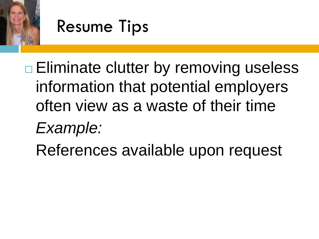

**□ Eliminate clutter by removing useless** information that potential employers often view as a waste of their time

- *Example:*
- References available upon request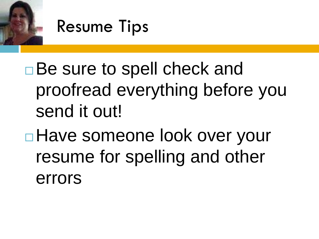

□Be sure to spell check and proofread everything before you send it out!

**□ Have someone look over your** resume for spelling and other errors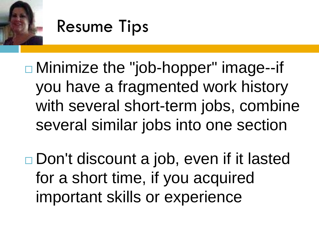

 Minimize the "job-hopper" image--if you have a fragmented work history with several short-term jobs, combine several similar jobs into one section

□ Don't discount a job, even if it lasted for a short time, if you acquired important skills or experience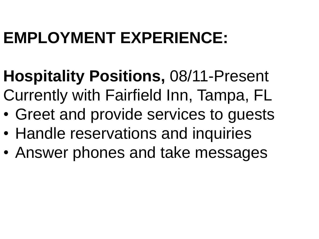### **EMPLOYMENT EXPERIENCE:**

- **Hospitality Positions,** 08/11-Present
- Currently with Fairfield Inn, Tampa, FL
- Greet and provide services to guests
- Handle reservations and inquiries
- Answer phones and take messages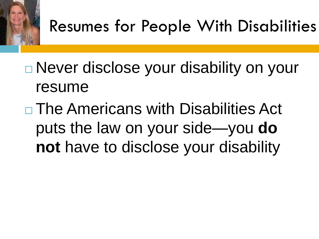

- **□ Never disclose your disability on your** resume
- $\Box$  The Americans with Disabilities Act puts the law on your side—you **do not** have to disclose your disability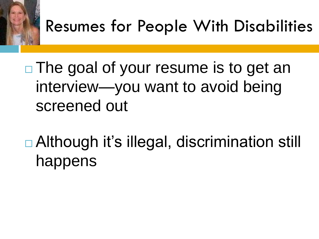

□ The goal of your resume is to get an interview—you want to avoid being screened out

□ Although it's illegal, discrimination still happens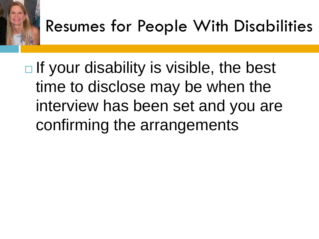

 $\Box$  If your disability is visible, the best time to disclose may be when the interview has been set and you are confirming the arrangements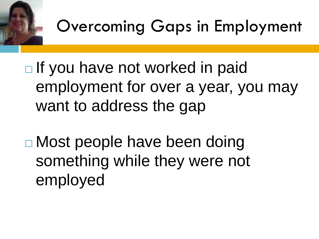

 $\Box$  If you have not worked in paid employment for over a year, you may want to address the gap

□ Most people have been doing something while they were not employed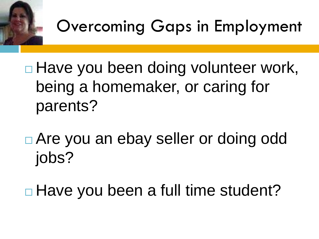

**□ Have you been doing volunteer work,** being a homemaker, or caring for parents?

 Are you an ebay seller or doing odd jobs?

**□ Have you been a full time student?**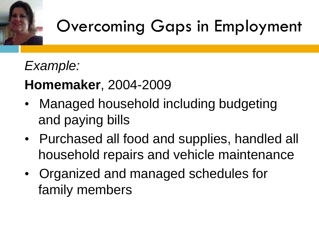#### *Example:*

#### **Homemaker**, 2004-2009

- Managed household including budgeting and paying bills
- Purchased all food and supplies, handled all household repairs and vehicle maintenance
- Organized and managed schedules for family members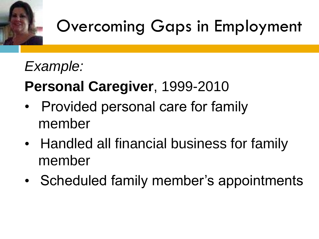

#### *Example:*

#### **Personal Caregiver**, 1999-2010

- Provided personal care for family member
- Handled all financial business for family member
- Scheduled family member's appointments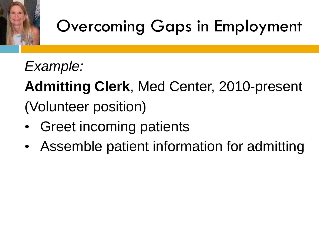*Example:*

**Admitting Clerk**, Med Center, 2010-present (Volunteer position)

- Greet incoming patients
- Assemble patient information for admitting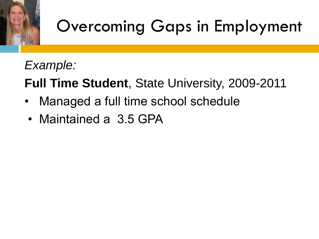

*Example:*

**Full Time Student**, State University, 2009-2011

- Managed a full time school schedule
- Maintained a 3.5 GPA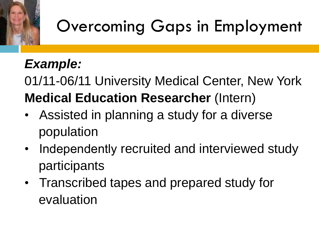#### *Example:*

01/11-06/11 University Medical Center, New York **Medical Education Researcher** (Intern)

- Assisted in planning a study for a diverse population
- Independently recruited and interviewed study participants
- Transcribed tapes and prepared study for evaluation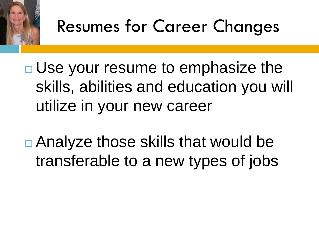

**□ Use your resume to emphasize the** skills, abilities and education you will utilize in your new career

**□ Analyze those skills that would be** transferable to a new types of jobs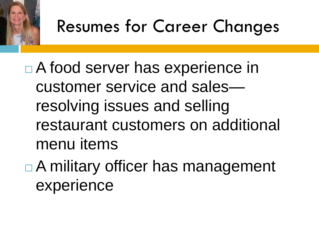

□ A food server has experience in customer service and sales resolving issues and selling restaurant customers on additional menu items

**□ A military officer has management** experience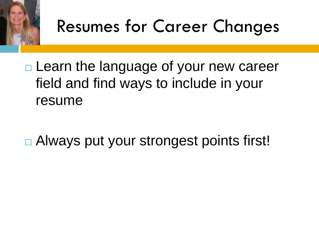

□ Learn the language of your new career field and find ways to include in your resume

□ Always put your strongest points first!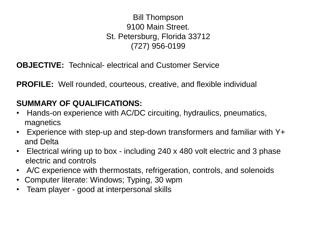#### Bill Thompson 9100 Main Street. St. Petersburg, Florida 33712 (727) 956-0199

**OBJECTIVE:** Technical- electrical and Customer Service

**PROFILE:** Well rounded, courteous, creative, and flexible individual

#### **SUMMARY OF QUALIFICATIONS:**

- Hands-on experience with AC/DC circuiting, hydraulics, pneumatics, magnetics
- Experience with step-up and step-down transformers and familiar with Y+ and Delta
- Electrical wiring up to box including 240 x 480 volt electric and 3 phase electric and controls
- A/C experience with thermostats, refrigeration, controls, and solenoids
- Computer literate: Windows; Typing, 30 wpm
- Team player good at interpersonal skills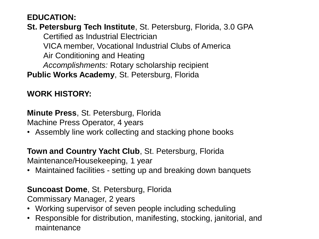#### **EDUCATION:**

**St. Petersburg Tech Institute**, St. Petersburg, Florida, 3.0 GPA Certified as Industrial Electrician VICA member, Vocational Industrial Clubs of America Air Conditioning and Heating *Accomplishments:* Rotary scholarship recipient **Public Works Academy**, St. Petersburg, Florida

#### **WORK HISTORY:**

**Minute Press**, St. Petersburg, Florida Machine Press Operator, 4 years

• Assembly line work collecting and stacking phone books

**Town and Country Yacht Club**, St. Petersburg, Florida

Maintenance/Housekeeping, 1 year

• Maintained facilities - setting up and breaking down banquets

#### **Suncoast Dome**, St. Petersburg, Florida

Commissary Manager, 2 years

- Working supervisor of seven people including scheduling
- Responsible for distribution, manifesting, stocking, janitorial, and maintenance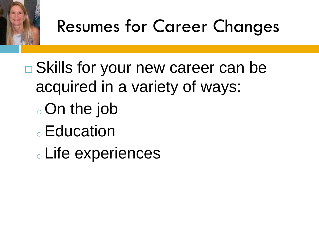

**□ Skills for your new career can be** acquired in a variety of ways: <sup>o</sup>On the job

- **⊙Education**
- <sup>o</sup> Life experiences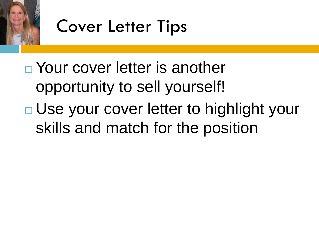



□ Your cover letter is another opportunity to sell yourself! □ Use your cover letter to highlight your skills and match for the position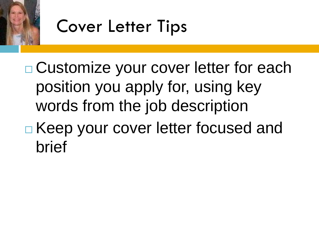

brief



**□ Customize your cover letter for each** position you apply for, using key words from the job description **□ Keep your cover letter focused and**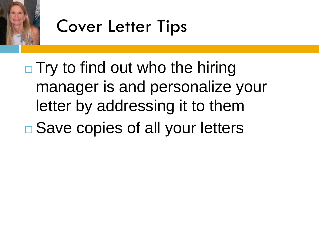



### $\Box$  Try to find out who the hiring manager is and personalize your letter by addressing it to them **□ Save copies of all your letters**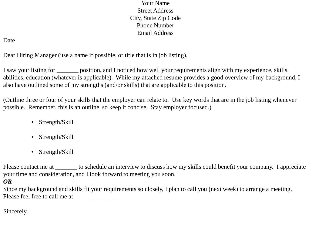Your Name Street Address City, State Zip Code Phone Number Email Address

#### Date

Dear Hiring Manager (use a name if possible, or title that is in job listing),

I saw your listing for position, and I noticed how well your requirements align with my experience, skills, abilities, education (whatever is applicable). While my attached resume provides a good overview of my background, I also have outlined some of my strengths (and/or skills) that are applicable to this position.

(Outline three or four of your skills that the employer can relate to. Use key words that are in the job listing whenever possible. Remember, this is an outline, so keep it concise. Stay employer focused.)

- Strength/Skill
- Strength/Skill
- Strength/Skill

Please contact me at \_\_\_\_\_\_\_ to schedule an interview to discuss how my skills could benefit your company. I appreciate your time and consideration, and I look forward to meeting you soon.

#### *OR*

Since my background and skills fit your requirements so closely, I plan to call you (next week) to arrange a meeting. Please feel free to call me at \_\_\_\_\_\_\_\_\_\_\_\_\_

Sincerely,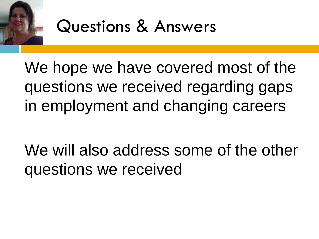

We hope we have covered most of the questions we received regarding gaps in employment and changing careers

We will also address some of the other questions we received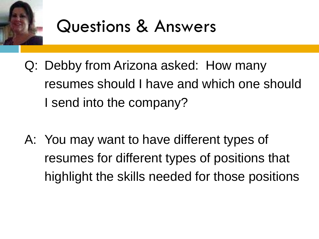

- Q: Debby from Arizona asked: How many resumes should I have and which one should I send into the company?
- A: You may want to have different types of resumes for different types of positions that highlight the skills needed for those positions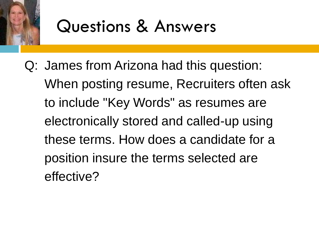

Q: James from Arizona had this question: When posting resume, Recruiters often ask to include "Key Words" as resumes are electronically stored and called-up using these terms. How does a candidate for a position insure the terms selected are effective?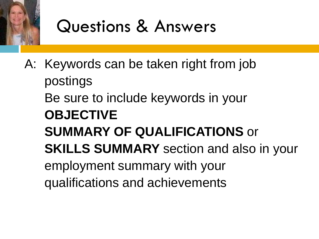

A: Keywords can be taken right from job postings Be sure to include keywords in your **OBJECTIVE SUMMARY OF QUALIFICATIONS** or **SKILLS SUMMARY** section and also in your employment summary with your qualifications and achievements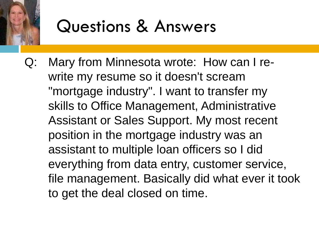

Q: Mary from Minnesota wrote: How can I rewrite my resume so it doesn't scream "mortgage industry". I want to transfer my skills to Office Management, Administrative Assistant or Sales Support. My most recent position in the mortgage industry was an assistant to multiple loan officers so I did everything from data entry, customer service, file management. Basically did what ever it took to get the deal closed on time.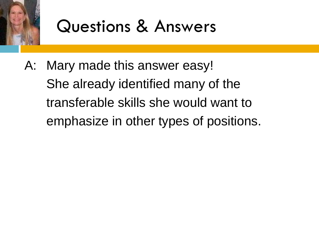

A: Mary made this answer easy! She already identified many of the transferable skills she would want to emphasize in other types of positions.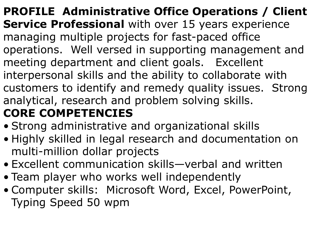**PROFILE Administrative Office Operations / Client Service Professional** with over 15 years experience managing multiple projects for fast-paced office operations. Well versed in supporting management and meeting department and client goals.Excellent interpersonal skills and the ability to collaborate with customers to identify and remedy quality issues. Strong analytical, research and problem solving skills. **CORE COMPETENCIES**

- Strong administrative and organizational skills
- Highly skilled in legal research and documentation on multi-million dollar projects
- Excellent communication skills—verbal and written
- Team player who works well independently
- Computer skills: Microsoft Word, Excel, PowerPoint, Typing Speed 50 wpm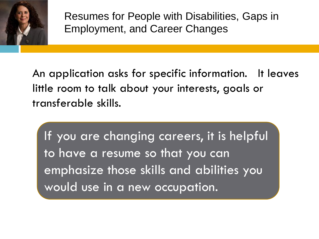

Resumes for People with Disabilities, Gaps in Employment, and Career Changes

An application asks for specific information. It leaves little room to talk about your interests, goals or transferable skills.

If you are changing careers, it is helpful to have a resume so that you can emphasize those skills and abilities you would use in a new occupation.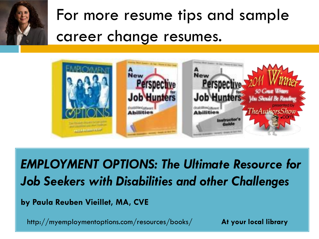

For more resume tips and sample career change resumes.



*EMPLOYMENT OPTIONS: The Ultimate Resource for Job Seekers with Disabilities and other Challenges*

**by Paula Reuben Vieillet, MA, CVE**

http://myemploymentoptions.com/resources/books/ **At your local library**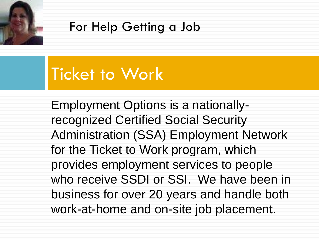

#### For Help Getting a Job

#### Ticket to Work

Employment Options is a nationallyrecognized Certified Social Security Administration (SSA) Employment Network for the Ticket to Work program, which provides employment services to people who receive SSDI or SSI. We have been in business for over 20 years and handle both work-at-home and on-site job placement.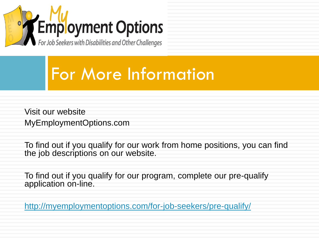

#### For More Information

Visit our website MyEmploymentOptions.com

To find out if you qualify for our work from home positions, you can find the job descriptions on our website.

To find out if you qualify for our program, complete our pre-qualify application on-line.

<http://myemploymentoptions.com/for-job-seekers/pre-qualify/>